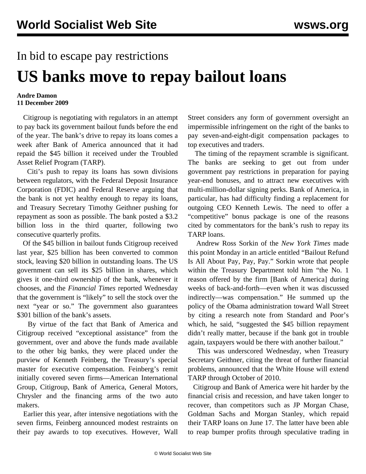## In bid to escape pay restrictions

## **US banks move to repay bailout loans**

## **Andre Damon 11 December 2009**

 Citigroup is negotiating with regulators in an attempt to pay back its government bailout funds before the end of the year. The bank's drive to repay its loans comes a week after Bank of America announced that it had repaid the \$45 billion it received under the Troubled Asset Relief Program (TARP).

 Citi's push to repay its loans has sown divisions between regulators, with the Federal Deposit Insurance Corporation (FDIC) and Federal Reserve arguing that the bank is not yet healthy enough to repay its loans, and Treasury Secretary Timothy Geithner pushing for repayment as soon as possible. The bank posted a \$3.2 billion loss in the third quarter, following two consecutive quarterly profits.

 Of the \$45 billion in bailout funds Citigroup received last year, \$25 billion has been converted to common stock, leaving \$20 billion in outstanding loans. The US government can sell its \$25 billion in shares, which gives it one-third ownership of the bank, whenever it chooses, and the *Financial Times* reported Wednesday that the government is "likely" to sell the stock over the next "year or so." The government also guarantees \$301 billion of the bank's assets.

 By virtue of the fact that Bank of America and Citigroup received "exceptional assistance" from the government, over and above the funds made available to the other big banks, they were placed under the purview of Kenneth Feinberg, the Treasury's special master for executive compensation. Feinberg's remit initially covered seven firms—American International Group, Citigroup, Bank of America, General Motors, Chrysler and the financing arms of the two auto makers.

 Earlier this year, after intensive negotiations with the seven firms, Feinberg announced modest restraints on their pay awards to top executives. However, Wall Street considers any form of government oversight an impermissible infringement on the right of the banks to pay seven-and-eight-digit compensation packages to top executives and traders.

 The timing of the repayment scramble is significant. The banks are seeking to get out from under government pay restrictions in preparation for paying year-end bonuses, and to attract new executives with multi-million-dollar signing perks. Bank of America, in particular, has had difficulty finding a replacement for outgoing CEO Kenneth Lewis. The need to offer a "competitive" bonus package is one of the reasons cited by commentators for the bank's rush to repay its TARP loans.

 Andrew Ross Sorkin of the *New York Times* made this point Monday in an article entitled "Bailout Refund Is All About Pay, Pay, Pay." Sorkin wrote that people within the Treasury Department told him "the No. 1 reason offered by the firm [Bank of America] during weeks of back-and-forth—even when it was discussed indirectly—was compensation." He summed up the policy of the Obama administration toward Wall Street by citing a research note from Standard and Poor's which, he said, "suggested the \$45 billion repayment didn't really matter, because if the bank got in trouble again, taxpayers would be there with another bailout."

 This was underscored Wednesday, when Treasury Secretary Geithner, citing the threat of further financial problems, announced that the White House will extend TARP through October of 2010.

 Citigroup and Bank of America were hit harder by the financial crisis and recession, and have taken longer to recover, than competitors such as JP Morgan Chase, Goldman Sachs and Morgan Stanley, which repaid their TARP loans on June 17. The latter have been able to reap bumper profits through speculative trading in